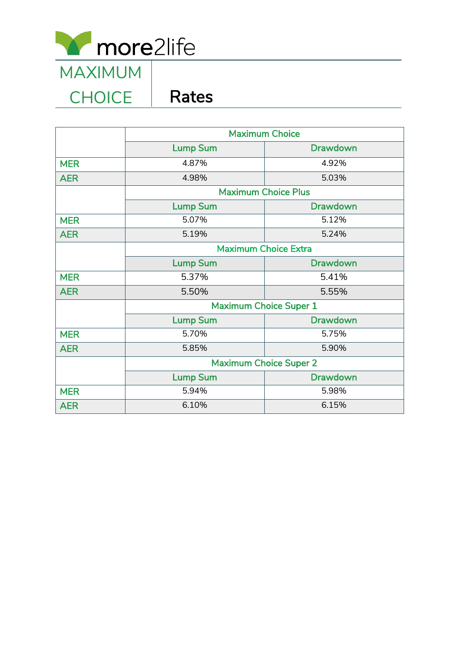

## CHOICE | Rates

|            | <b>Maximum Choice</b>         |                 |  |  |  |
|------------|-------------------------------|-----------------|--|--|--|
|            | <b>Lump Sum</b>               | <b>Drawdown</b> |  |  |  |
| <b>MER</b> | 4.87%                         | 4.92%           |  |  |  |
| <b>AER</b> | 4.98%                         | 5.03%           |  |  |  |
|            | <b>Maximum Choice Plus</b>    |                 |  |  |  |
|            | <b>Lump Sum</b>               | <b>Drawdown</b> |  |  |  |
| <b>MER</b> | 5.07%                         | 5.12%           |  |  |  |
| <b>AER</b> | 5.19%                         | 5.24%           |  |  |  |
|            | <b>Maximum Choice Extra</b>   |                 |  |  |  |
|            | <b>Lump Sum</b>               | <b>Drawdown</b> |  |  |  |
| <b>MER</b> | 5.37%                         | 5.41%           |  |  |  |
| <b>AER</b> | 5.50%                         | 5.55%           |  |  |  |
|            | <b>Maximum Choice Super 1</b> |                 |  |  |  |
|            | <b>Lump Sum</b>               | <b>Drawdown</b> |  |  |  |
| <b>MER</b> | 5.70%                         | 5.75%           |  |  |  |
| <b>AER</b> | 5.85%                         | 5.90%           |  |  |  |
|            | <b>Maximum Choice Super 2</b> |                 |  |  |  |
|            | <b>Lump Sum</b>               | <b>Drawdown</b> |  |  |  |
| <b>MER</b> | 5.94%                         | 5.98%           |  |  |  |
| <b>AER</b> | 6.10%                         | 6.15%           |  |  |  |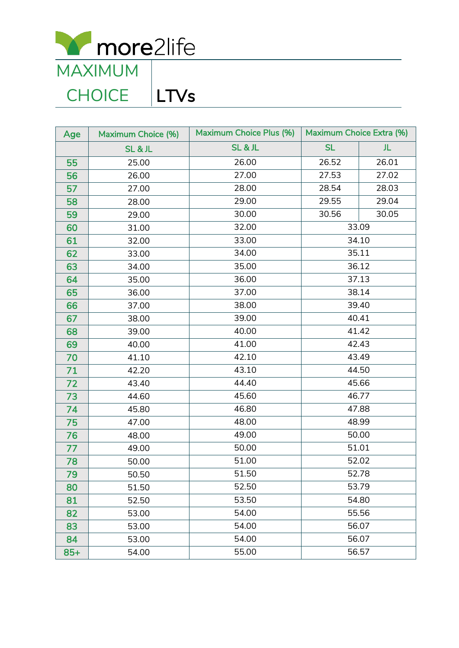

**CHOICE** 

## Age | Maximum Choice (%) | Maximum Choice Plus (%) | Maximum Choice Extra (%) SL & JL SL & JL SL JL 25.00 26.00 26.52 26.01 26.00 27.00 27.53 27.02 27.00 28.00 28.54 28.03 28.00 29.00 29.55 29.04 29.00 30.00 30.56 30.05 31.00 32.00 33.09 32.00 33.00 34.10 33.00 34.00 34.00 34.00 35.00 35.00 35.00 36.00 37.13 36.00 37.00 37.00 37.00 38.00 38.00 38.00 39.00 40.41 39.00 40.00 41.42 40.00 40.00 41.00 42.43 41.10 42.10 43.49 42.20 43.10 44.50 43.40 44.40 45.66 44.60 45.60 46.77 45.80 46.80 47.88 47.00 48.00 48.99 48.00 49.00 50.00 49.00 50.00 51.01 50.00 51.00 52.02 50.50 51.50 52.78 51.50 52.50 53.79 81 | 52.50 | 53.50 | 54.80 82 753.00 53.00 54.00 55.56 83 | 53.00 | 54.00 | 56.07 84 53.00 53.00 54.00 56.07 85+ | 54.00 | 55.00 | 56.57 <u>capital</u> al

LTVs